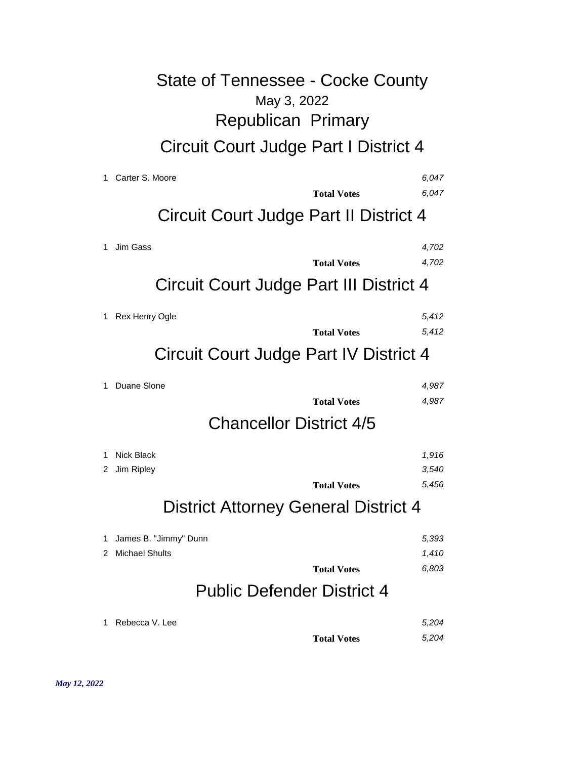# May 3, 2022 State of Tennessee - Cocke County Republican Primary Circuit Court Judge Part I District 4

| 1. | Carter S. Moore                             | 6.047 |  |  |
|----|---------------------------------------------|-------|--|--|
|    | <b>Total Votes</b>                          | 6,047 |  |  |
|    | Circuit Court Judge Part II District 4      |       |  |  |
| 1  | Jim Gass                                    | 4,702 |  |  |
|    | <b>Total Votes</b>                          | 4,702 |  |  |
|    | Circuit Court Judge Part III District 4     |       |  |  |
| 1  | Rex Henry Ogle                              | 5,412 |  |  |
|    | <b>Total Votes</b>                          | 5,412 |  |  |
|    | Circuit Court Judge Part IV District 4      |       |  |  |
| 1  | Duane Slone                                 | 4,987 |  |  |
|    | <b>Total Votes</b>                          | 4,987 |  |  |
|    | <b>Chancellor District 4/5</b>              |       |  |  |
| 1  | <b>Nick Black</b>                           | 1,916 |  |  |
| 2  | Jim Ripley                                  | 3,540 |  |  |
|    | <b>Total Votes</b>                          | 5,456 |  |  |
|    | <b>District Attorney General District 4</b> |       |  |  |
| 1. | James B. "Jimmy" Dunn                       | 5,393 |  |  |
| 2  | <b>Michael Shults</b>                       | 1,410 |  |  |
|    | <b>Total Votes</b>                          | 6,803 |  |  |
|    | <b>Public Defender District 4</b>           |       |  |  |
| 1  | Rebecca V. Lee                              | 5,204 |  |  |
|    | <b>Total Votes</b>                          | 5,204 |  |  |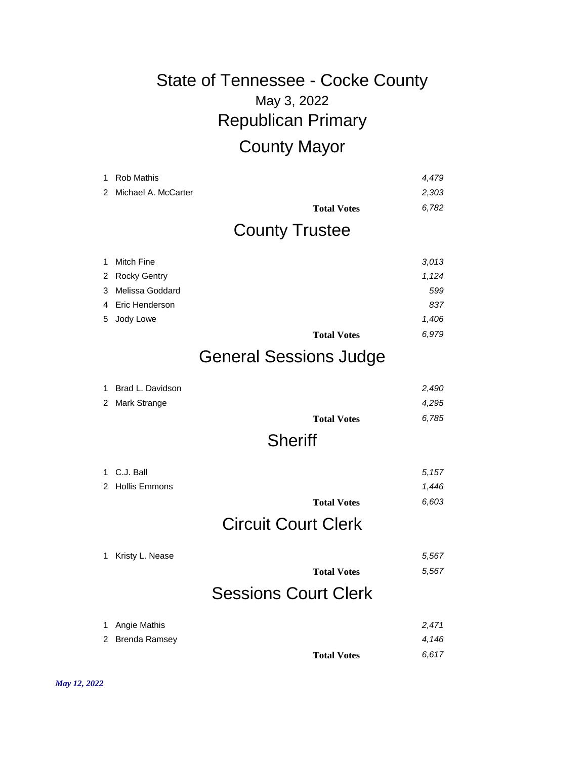# May 3, 2022 State of Tennessee - Cocke County Republican Primary County Mayor

|               | <b>Rob Mathis</b>   |                               | 4,479 |
|---------------|---------------------|-------------------------------|-------|
| $\mathcal{P}$ | Michael A. McCarter |                               | 2,303 |
|               |                     | <b>Total Votes</b>            | 6,782 |
|               |                     | <b>County Trustee</b>         |       |
|               | Mitch Fine          |                               | 3.013 |
| 2             | <b>Rocky Gentry</b> |                               | 1,124 |
| 3             | Melissa Goddard     |                               | 599   |
| 4             | Eric Henderson      |                               | 837   |
| 5.            | Jody Lowe           |                               | 1,406 |
|               |                     | <b>Total Votes</b>            | 6.979 |
|               |                     | <b>General Sessions Judge</b> |       |

| 2 Mark Strange |                    | 4,295 |
|----------------|--------------------|-------|
|                | <b>Total Votes</b> | 6,785 |

### **Sheriff**

| 1. | C.J. Ball       |                             | 5,157 |
|----|-----------------|-----------------------------|-------|
|    | 2 Hollis Emmons |                             | 1,446 |
|    |                 | <b>Total Votes</b>          | 6,603 |
|    |                 | <b>Circuit Court Clerk</b>  |       |
| 1  | Kristy L. Nease |                             | 5,567 |
|    |                 | <b>Total Votes</b>          | 5,567 |
|    |                 | <b>Sessions Court Clerk</b> |       |
| 1  | Angie Mathis    |                             | 2,471 |
| 2  | Brenda Ramsey   |                             | 4,146 |
|    |                 | <b>Total Votes</b>          | 6.617 |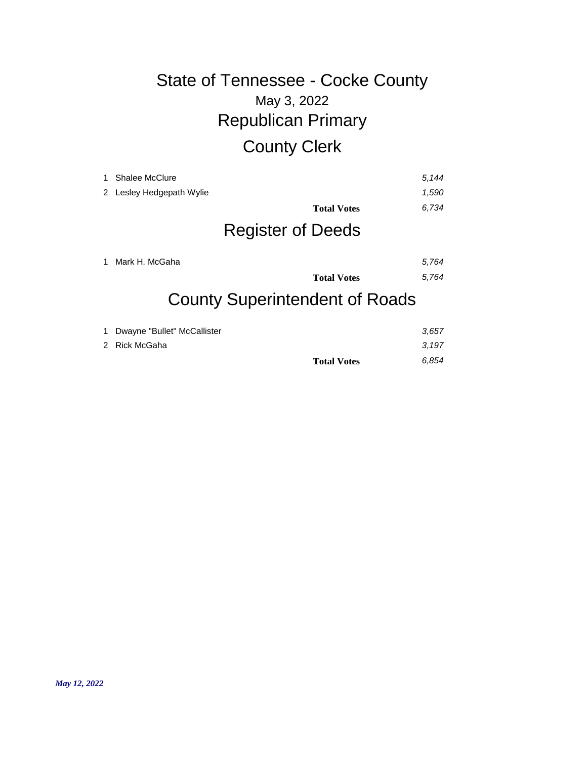# May 3, 2022 State of Tennessee - Cocke County Republican Primary County Clerk

| 1. | <b>Shalee McClure</b><br>2 Lesley Hedgepath Wylie | <b>Total Votes</b><br><b>Register of Deeds</b> | 5.144<br>1,590<br>6,734 |
|----|---------------------------------------------------|------------------------------------------------|-------------------------|
| 1  | Mark H. McGaha                                    | <b>Total Votes</b>                             | 5,764<br>5,764          |

#### County Superintendent of Roads

| 1 Dwayne "Bullet" McCallister |                    | 3.657 |
|-------------------------------|--------------------|-------|
| 2 Rick McGaha                 |                    | 3.197 |
|                               | <b>Total Votes</b> | 6.854 |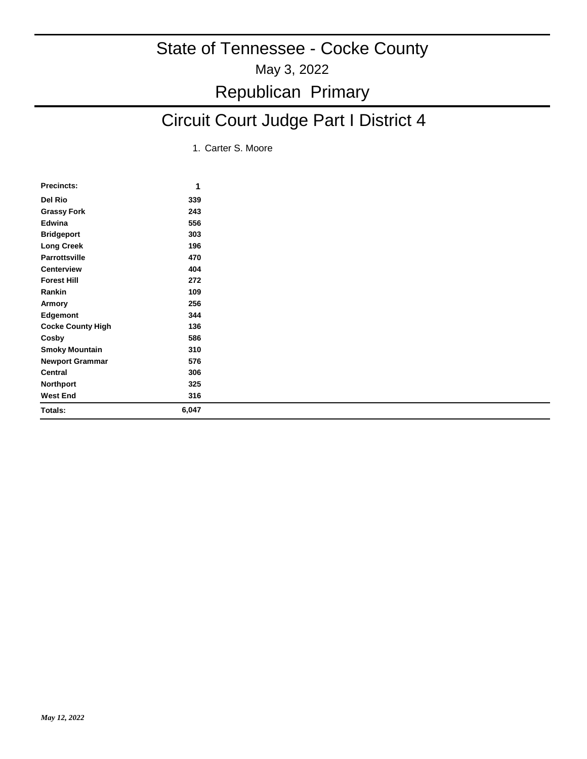# May 3, 2022 State of Tennessee - Cocke County Republican Primary

# Circuit Court Judge Part I District 4

1. Carter S. Moore

| <b>Precincts:</b>        | 1     |
|--------------------------|-------|
| Del Rio                  | 339   |
| <b>Grassy Fork</b>       | 243   |
| Edwina                   | 556   |
| <b>Bridgeport</b>        | 303   |
| <b>Long Creek</b>        | 196   |
| <b>Parrottsville</b>     | 470   |
| <b>Centerview</b>        | 404   |
| <b>Forest Hill</b>       | 272   |
| Rankin                   | 109   |
| Armory                   | 256   |
| <b>Edgemont</b>          | 344   |
| <b>Cocke County High</b> | 136   |
| Cosby                    | 586   |
| <b>Smoky Mountain</b>    | 310   |
| <b>Newport Grammar</b>   | 576   |
| Central                  | 306   |
| <b>Northport</b>         | 325   |
| <b>West End</b>          | 316   |
| Totals:                  | 6,047 |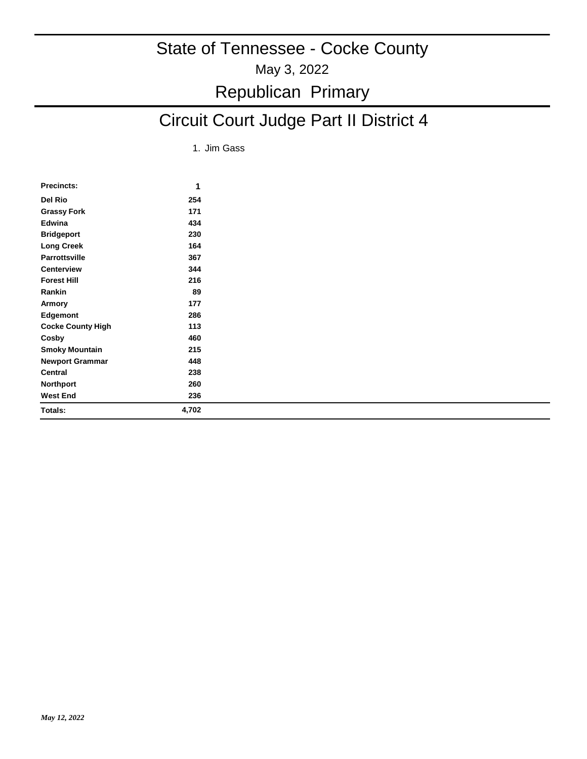### Republican Primary

# Circuit Court Judge Part II District 4

1. Jim Gass

| <b>Precincts:</b>        | 1     |
|--------------------------|-------|
| Del Rio                  | 254   |
| <b>Grassy Fork</b>       | 171   |
| Edwina                   | 434   |
| <b>Bridgeport</b>        | 230   |
| Long Creek               | 164   |
| <b>Parrottsville</b>     | 367   |
| <b>Centerview</b>        | 344   |
| <b>Forest Hill</b>       | 216   |
| Rankin                   | 89    |
| Armory                   | 177   |
| Edgemont                 | 286   |
| <b>Cocke County High</b> | 113   |
| Cosby                    | 460   |
| <b>Smoky Mountain</b>    | 215   |
| <b>Newport Grammar</b>   | 448   |
| Central                  | 238   |
| <b>Northport</b>         | 260   |
| <b>West End</b>          | 236   |
| Totals:                  | 4,702 |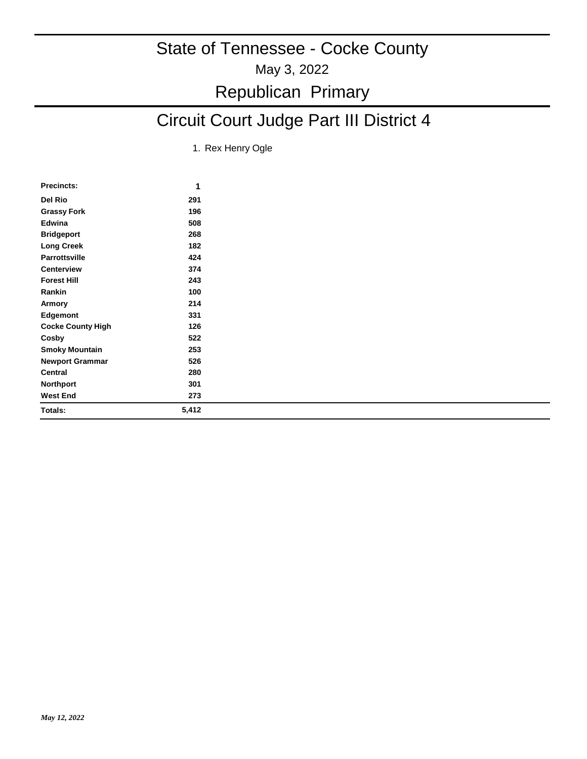### Republican Primary

# Circuit Court Judge Part III District 4

1. Rex Henry Ogle

| Precincts:               | 1     |
|--------------------------|-------|
| Del Rio                  | 291   |
| <b>Grassy Fork</b>       | 196   |
| Edwina                   | 508   |
| <b>Bridgeport</b>        | 268   |
| <b>Long Creek</b>        | 182   |
| <b>Parrottsville</b>     | 424   |
| <b>Centerview</b>        | 374   |
| <b>Forest Hill</b>       | 243   |
| Rankin                   | 100   |
| Armory                   | 214   |
| Edgemont                 | 331   |
| <b>Cocke County High</b> | 126   |
| Cosby                    | 522   |
| <b>Smoky Mountain</b>    | 253   |
| <b>Newport Grammar</b>   | 526   |
| Central                  | 280   |
| <b>Northport</b>         | 301   |
| West End                 | 273   |
| Totals:                  | 5,412 |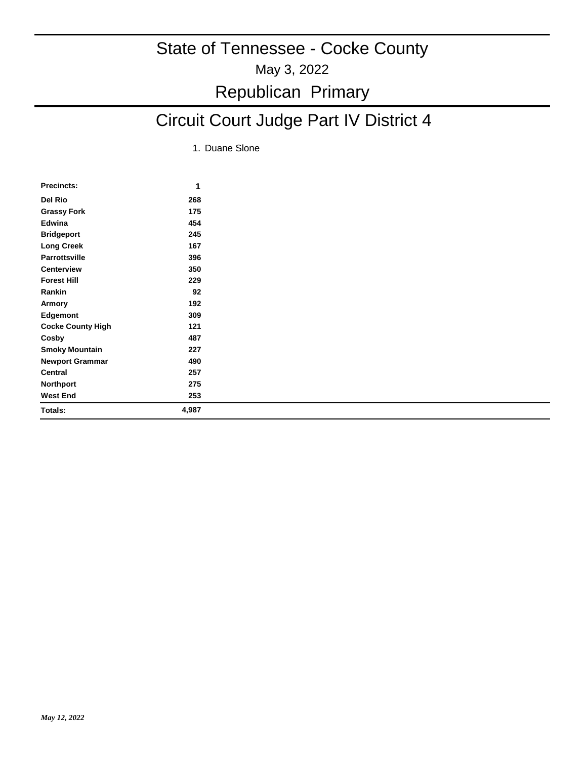### May 3, 2022 State of Tennessee - Cocke County Republican Primary

# Circuit Court Judge Part IV District 4

1. Duane Slone

| <b>Precincts:</b>        | 1     |
|--------------------------|-------|
| Del Rio                  | 268   |
| <b>Grassy Fork</b>       | 175   |
| Edwina                   | 454   |
| <b>Bridgeport</b>        | 245   |
| <b>Long Creek</b>        | 167   |
| <b>Parrottsville</b>     | 396   |
| <b>Centerview</b>        | 350   |
| <b>Forest Hill</b>       | 229   |
| Rankin                   | 92    |
| Armory                   | 192   |
| <b>Edgemont</b>          | 309   |
| <b>Cocke County High</b> | 121   |
| Cosby                    | 487   |
| <b>Smoky Mountain</b>    | 227   |
| <b>Newport Grammar</b>   | 490   |
| Central                  | 257   |
| <b>Northport</b>         | 275   |
| <b>West End</b>          | 253   |
| Totals:                  | 4,987 |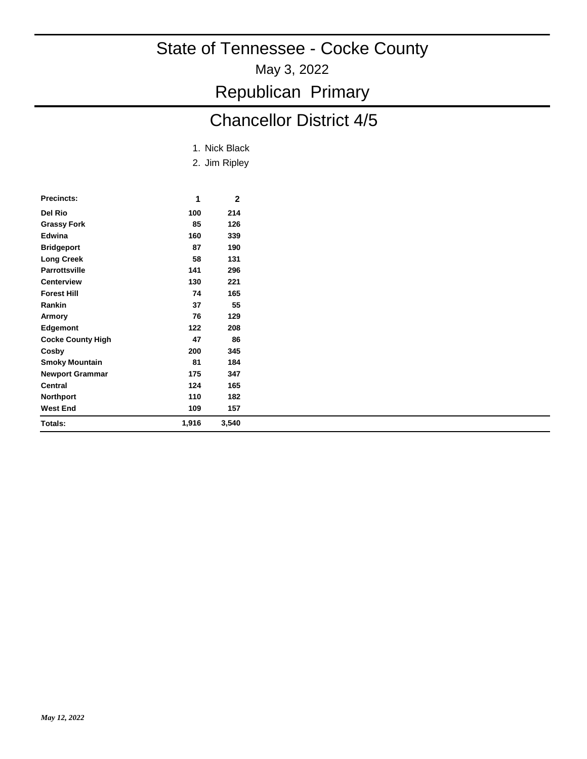May 3, 2022

Republican Primary

# Chancellor District 4/5

|  |  | 1. Nick Black |
|--|--|---------------|
|--|--|---------------|

2. Jim Ripley

| <b>Precincts:</b>        | 1     | 2     |
|--------------------------|-------|-------|
| Del Rio                  | 100   | 214   |
| <b>Grassy Fork</b>       | 85    | 126   |
| Edwina                   | 160   | 339   |
| <b>Bridgeport</b>        | 87    | 190   |
| <b>Long Creek</b>        | 58    | 131   |
| <b>Parrottsville</b>     | 141   | 296   |
| <b>Centerview</b>        | 130   | 221   |
| <b>Forest Hill</b>       | 74    | 165   |
| Rankin                   | 37    | 55    |
| Armory                   | 76    | 129   |
| Edgemont                 | 122   | 208   |
| <b>Cocke County High</b> | 47    | 86    |
| Cosby                    | 200   | 345   |
| <b>Smoky Mountain</b>    | 81    | 184   |
| <b>Newport Grammar</b>   | 175   | 347   |
| Central                  | 124   | 165   |
| <b>Northport</b>         | 110   | 182   |
| <b>West End</b>          | 109   | 157   |
| Totals:                  | 1,916 | 3,540 |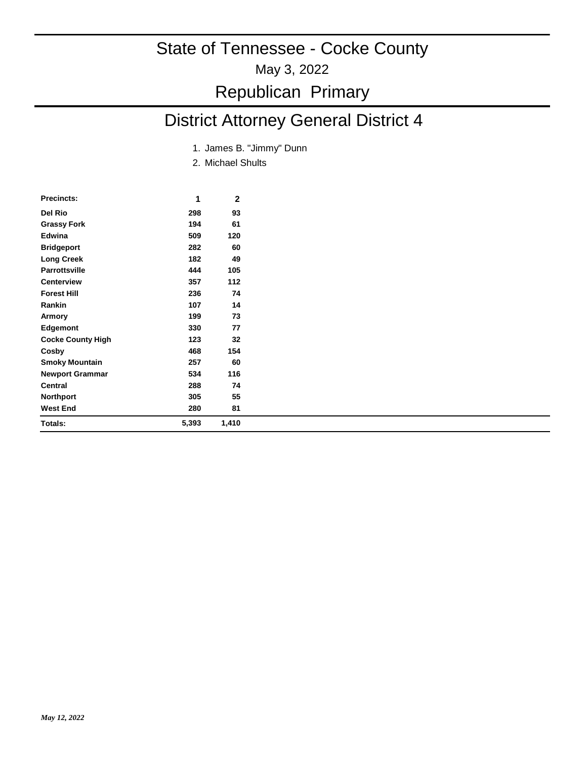#### May 3, 2022

### Republican Primary

# District Attorney General District 4

- 1. James B. "Jimmy" Dunn
- 2. Michael Shults

| <b>Precincts:</b>        | 1     | 2     |  |
|--------------------------|-------|-------|--|
| Del Rio                  | 298   | 93    |  |
| <b>Grassy Fork</b>       | 194   | 61    |  |
| Edwina                   | 509   | 120   |  |
| <b>Bridgeport</b>        | 282   | 60    |  |
| <b>Long Creek</b>        | 182   | 49    |  |
| <b>Parrottsville</b>     | 444   | 105   |  |
| <b>Centerview</b>        | 357   | 112   |  |
| <b>Forest Hill</b>       | 236   | 74    |  |
| Rankin                   | 107   | 14    |  |
| Armory                   | 199   | 73    |  |
| <b>Edgemont</b>          | 330   | 77    |  |
| <b>Cocke County High</b> | 123   | 32    |  |
| Cosby                    | 468   | 154   |  |
| <b>Smoky Mountain</b>    | 257   | 60    |  |
| <b>Newport Grammar</b>   | 534   | 116   |  |
| <b>Central</b>           | 288   | 74    |  |
| <b>Northport</b>         | 305   | 55    |  |
| <b>West End</b>          | 280   | 81    |  |
| Totals:                  | 5,393 | 1,410 |  |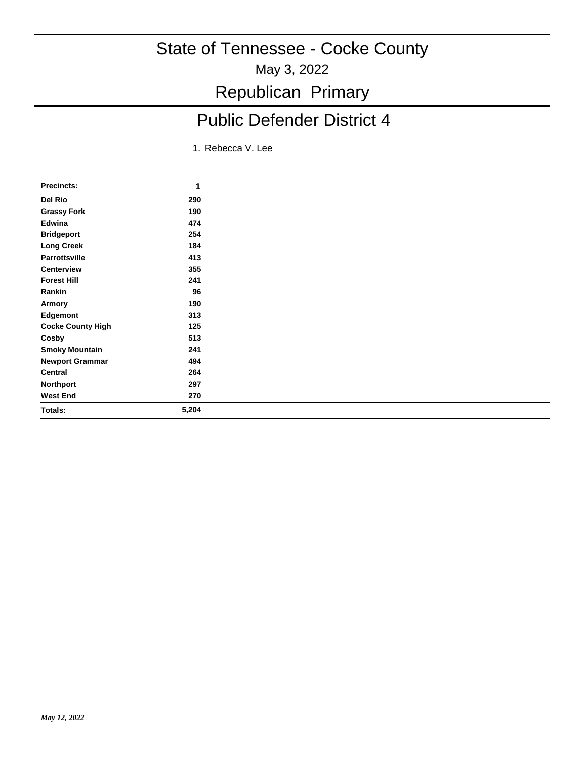May 3, 2022

Republican Primary

# Public Defender District 4

1. Rebecca V. Lee

| <b>Precincts:</b>        | 1     |
|--------------------------|-------|
| Del Rio                  | 290   |
| <b>Grassy Fork</b>       | 190   |
| Edwina                   | 474   |
| <b>Bridgeport</b>        | 254   |
| <b>Long Creek</b>        | 184   |
| <b>Parrottsville</b>     | 413   |
| <b>Centerview</b>        | 355   |
| <b>Forest Hill</b>       | 241   |
| Rankin                   | 96    |
| Armory                   | 190   |
| Edgemont                 | 313   |
| <b>Cocke County High</b> | 125   |
| Cosby                    | 513   |
| <b>Smoky Mountain</b>    | 241   |
| <b>Newport Grammar</b>   | 494   |
| Central                  | 264   |
| <b>Northport</b>         | 297   |
| <b>West End</b>          | 270   |
| Totals:                  | 5,204 |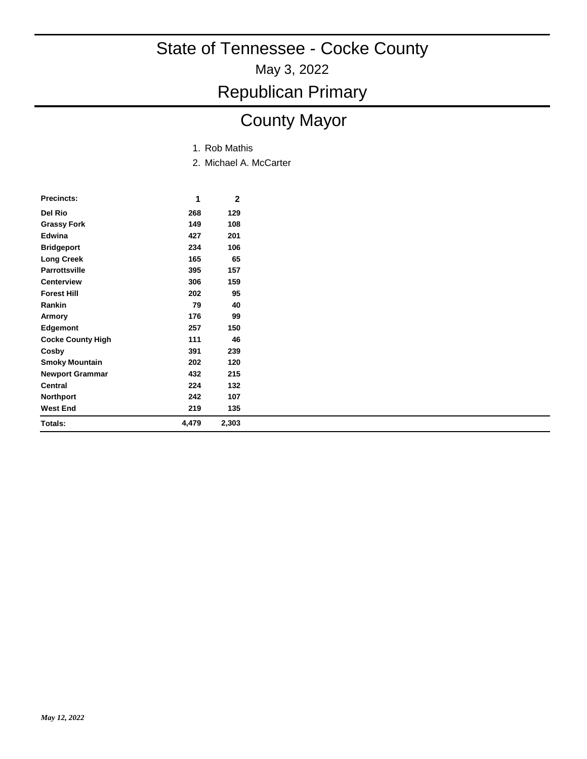May 3, 2022

### Republican Primary

# County Mayor

- 1. Rob Mathis
- 2. Michael A. McCarter

| Precincts:               | 1     | 2     |
|--------------------------|-------|-------|
| Del Rio                  | 268   | 129   |
| Grassy Fork              | 149   | 108   |
| Edwina                   | 427   | 201   |
| <b>Bridgeport</b>        | 234   | 106   |
| <b>Long Creek</b>        | 165   | 65    |
| <b>Parrottsville</b>     | 395   | 157   |
| <b>Centerview</b>        | 306   | 159   |
| <b>Forest Hill</b>       | 202   | 95    |
| Rankin                   | 79    | 40    |
| Armory                   | 176   | 99    |
| Edgemont                 | 257   | 150   |
| <b>Cocke County High</b> | 111   | 46    |
| Cosby                    | 391   | 239   |
| <b>Smoky Mountain</b>    | 202   | 120   |
| <b>Newport Grammar</b>   | 432   | 215   |
| Central                  | 224   | 132   |
| Northport                | 242   | 107   |
| <b>West End</b>          | 219   | 135   |
| Totals:                  | 4,479 | 2,303 |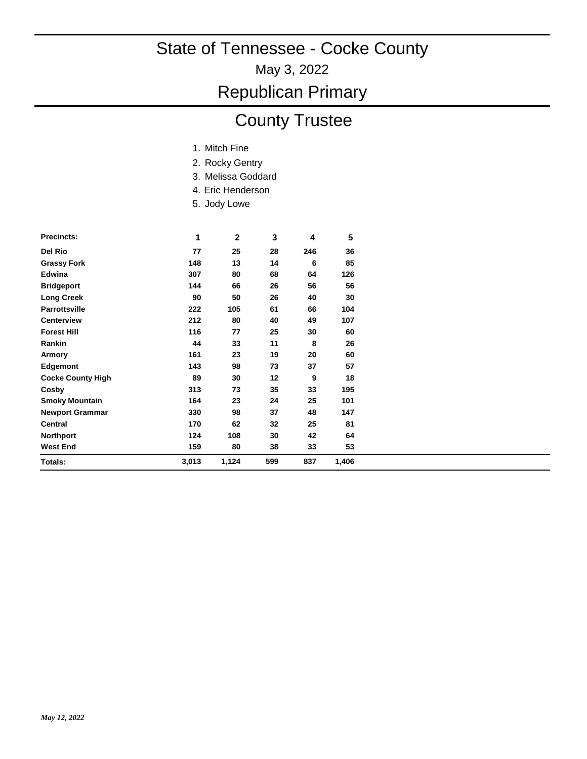May 3, 2022

### Republican Primary

### County Trustee

- 1. Mitch Fine
- 2. Rocky Gentry
- 3. Melissa Goddard
- 4. Eric Henderson
- 5. Jody Lowe

| <b>Precincts:</b>        | 1     | $\mathbf{2}$ | 3   | 4   | 5     |
|--------------------------|-------|--------------|-----|-----|-------|
| Del Rio                  | 77    | 25           | 28  | 246 | 36    |
| <b>Grassy Fork</b>       | 148   | 13           | 14  | 6   | 85    |
| <b>Edwina</b>            | 307   | 80           | 68  | 64  | 126   |
| <b>Bridgeport</b>        | 144   | 66           | 26  | 56  | 56    |
| <b>Long Creek</b>        | 90    | 50           | 26  | 40  | 30    |
| <b>Parrottsville</b>     | 222   | 105          | 61  | 66  | 104   |
| <b>Centerview</b>        | 212   | 80           | 40  | 49  | 107   |
| <b>Forest Hill</b>       | 116   | 77           | 25  | 30  | 60    |
| Rankin                   | 44    | 33           | 11  | 8   | 26    |
| Armory                   | 161   | 23           | 19  | 20  | 60    |
| Edgemont                 | 143   | 98           | 73  | 37  | 57    |
| <b>Cocke County High</b> | 89    | 30           | 12  | 9   | 18    |
| Cosby                    | 313   | 73           | 35  | 33  | 195   |
| <b>Smoky Mountain</b>    | 164   | 23           | 24  | 25  | 101   |
| <b>Newport Grammar</b>   | 330   | 98           | 37  | 48  | 147   |
| <b>Central</b>           | 170   | 62           | 32  | 25  | 81    |
| <b>Northport</b>         | 124   | 108          | 30  | 42  | 64    |
| <b>West End</b>          | 159   | 80           | 38  | 33  | 53    |
| Totals:                  | 3,013 | 1,124        | 599 | 837 | 1,406 |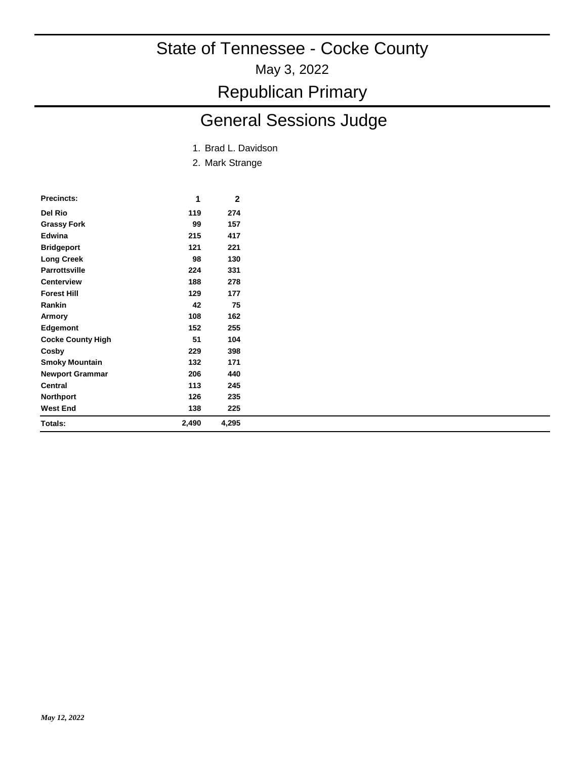May 3, 2022

Republican Primary

# General Sessions Judge

- 1. Brad L. Davidson
- 2. Mark Strange

| Precincts:               | 1     | 2     |
|--------------------------|-------|-------|
| Del Rio                  | 119   | 274   |
| Grassy Fork              | 99    | 157   |
| Edwina                   | 215   | 417   |
| <b>Bridgeport</b>        | 121   | 221   |
| <b>Long Creek</b>        | 98    | 130   |
| <b>Parrottsville</b>     | 224   | 331   |
| <b>Centerview</b>        | 188   | 278   |
| <b>Forest Hill</b>       | 129   | 177   |
| Rankin                   | 42    | 75    |
| Armory                   | 108   | 162   |
| Edgemont                 | 152   | 255   |
| <b>Cocke County High</b> | 51    | 104   |
| Cosby                    | 229   | 398   |
| <b>Smoky Mountain</b>    | 132   | 171   |
| <b>Newport Grammar</b>   | 206   | 440   |
| Central                  | 113   | 245   |
| Northport                | 126   | 235   |
| <b>West End</b>          | 138   | 225   |
| Totals:                  | 2,490 | 4,295 |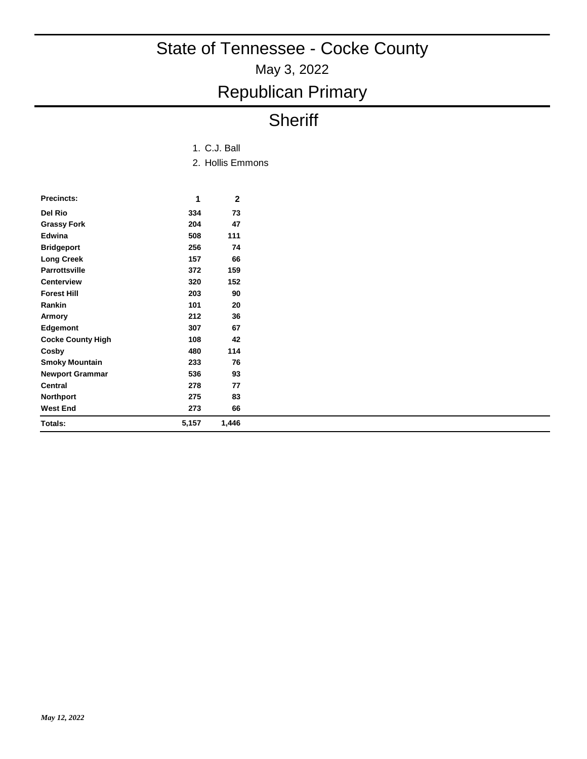# Republican Primary

# **Sheriff**

#### 2. Hollis Emmons 1. C.J. Ball

| <b>Precincts:</b>        | 1     | 2     |
|--------------------------|-------|-------|
| Del Rio                  | 334   | 73    |
| <b>Grassy Fork</b>       | 204   | 47    |
| Edwina                   | 508   | 111   |
| <b>Bridgeport</b>        | 256   | 74    |
| Long Creek               | 157   | 66    |
| <b>Parrottsville</b>     | 372   | 159   |
| <b>Centerview</b>        | 320   | 152   |
| <b>Forest Hill</b>       | 203   | 90    |
| Rankin                   | 101   | 20    |
| Armory                   | 212   | 36    |
| <b>Edgemont</b>          | 307   | 67    |
| <b>Cocke County High</b> | 108   | 42    |
| Cosby                    | 480   | 114   |
| <b>Smoky Mountain</b>    | 233   | 76    |
| <b>Newport Grammar</b>   | 536   | 93    |
| Central                  | 278   | 77    |
| Northport                | 275   | 83    |
| <b>West End</b>          | 273   | 66    |
| Totals:                  | 5,157 | 1,446 |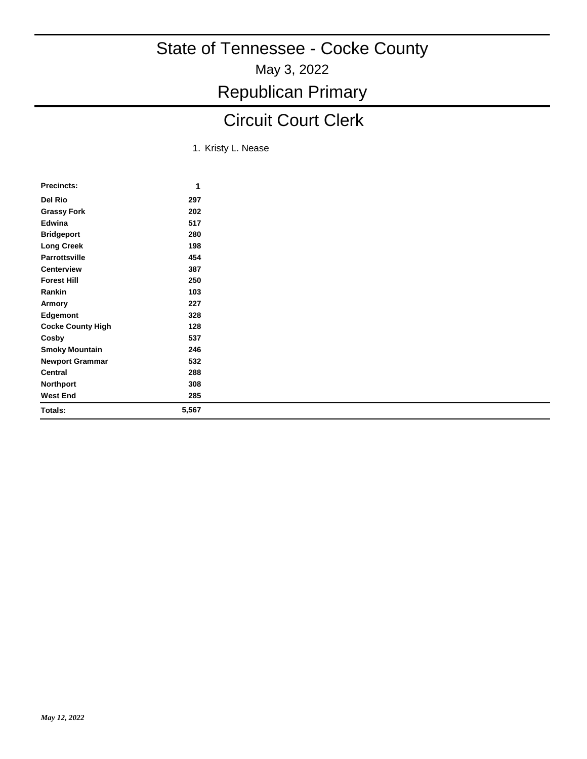# Republican Primary

# Circuit Court Clerk

1. Kristy L. Nease

| <b>Precincts:</b>        | 1     |
|--------------------------|-------|
| Del Rio                  | 297   |
| <b>Grassy Fork</b>       | 202   |
| Edwina                   | 517   |
| <b>Bridgeport</b>        | 280   |
| <b>Long Creek</b>        | 198   |
| <b>Parrottsville</b>     | 454   |
| <b>Centerview</b>        | 387   |
| <b>Forest Hill</b>       | 250   |
| Rankin                   | 103   |
| Armory                   | 227   |
| Edgemont                 | 328   |
| <b>Cocke County High</b> | 128   |
| Cosby                    | 537   |
| <b>Smoky Mountain</b>    | 246   |
| <b>Newport Grammar</b>   | 532   |
| Central                  | 288   |
| <b>Northport</b>         | 308   |
| <b>West End</b>          | 285   |
| Totals:                  | 5,567 |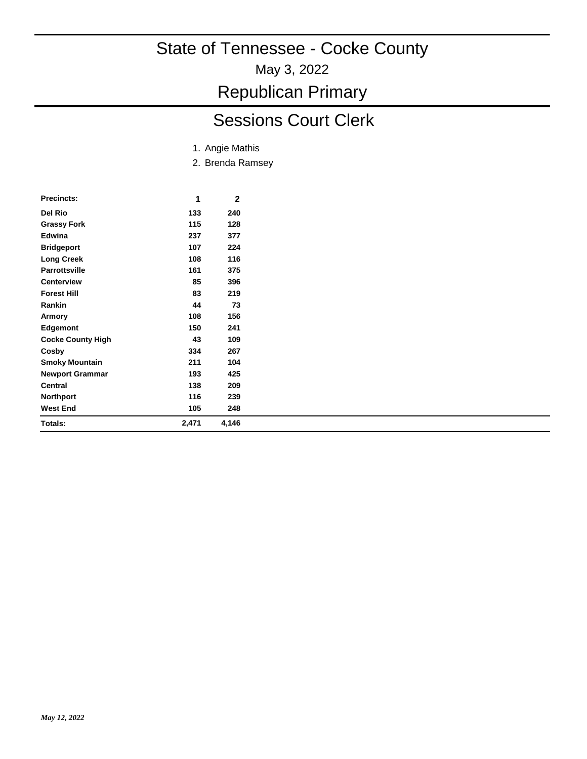May 3, 2022

Republican Primary

# Sessions Court Clerk

- 1. Angie Mathis
- 2. Brenda Ramsey

| <b>Precincts:</b>        | 1     | 2     |
|--------------------------|-------|-------|
| Del Rio                  | 133   | 240   |
| <b>Grassy Fork</b>       | 115   | 128   |
| Edwina                   | 237   | 377   |
| <b>Bridgeport</b>        | 107   | 224   |
| <b>Long Creek</b>        | 108   | 116   |
| <b>Parrottsville</b>     | 161   | 375   |
| <b>Centerview</b>        | 85    | 396   |
| <b>Forest Hill</b>       | 83    | 219   |
| Rankin                   | 44    | 73    |
| Armory                   | 108   | 156   |
| Edgemont                 | 150   | 241   |
| <b>Cocke County High</b> | 43    | 109   |
| Cosby                    | 334   | 267   |
| <b>Smoky Mountain</b>    | 211   | 104   |
| <b>Newport Grammar</b>   | 193   | 425   |
| Central                  | 138   | 209   |
| <b>Northport</b>         | 116   | 239   |
| <b>West End</b>          | 105   | 248   |
| Totals:                  | 2,471 | 4,146 |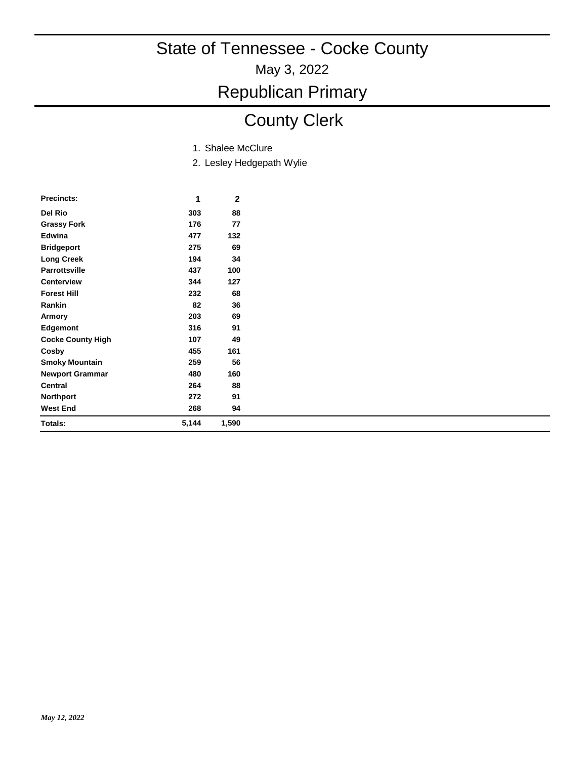May 3, 2022

Republican Primary

# County Clerk

- 1. Shalee McClure
- 2. Lesley Hedgepath Wylie

| <b>Precincts:</b>        | 1     | 2     |
|--------------------------|-------|-------|
| Del Rio                  | 303   | 88    |
| <b>Grassy Fork</b>       | 176   | 77    |
| Edwina                   | 477   | 132   |
| <b>Bridgeport</b>        | 275   | 69    |
| <b>Long Creek</b>        | 194   | 34    |
| <b>Parrottsville</b>     | 437   | 100   |
| <b>Centerview</b>        | 344   | 127   |
| <b>Forest Hill</b>       | 232   | 68    |
| Rankin                   | 82    | 36    |
| Armory                   | 203   | 69    |
| <b>Edgemont</b>          | 316   | 91    |
| <b>Cocke County High</b> | 107   | 49    |
| Cosby                    | 455   | 161   |
| <b>Smoky Mountain</b>    | 259   | 56    |
| <b>Newport Grammar</b>   | 480   | 160   |
| <b>Central</b>           | 264   | 88    |
| <b>Northport</b>         | 272   | 91    |
| <b>West End</b>          | 268   | 94    |
| Totals:                  | 5,144 | 1,590 |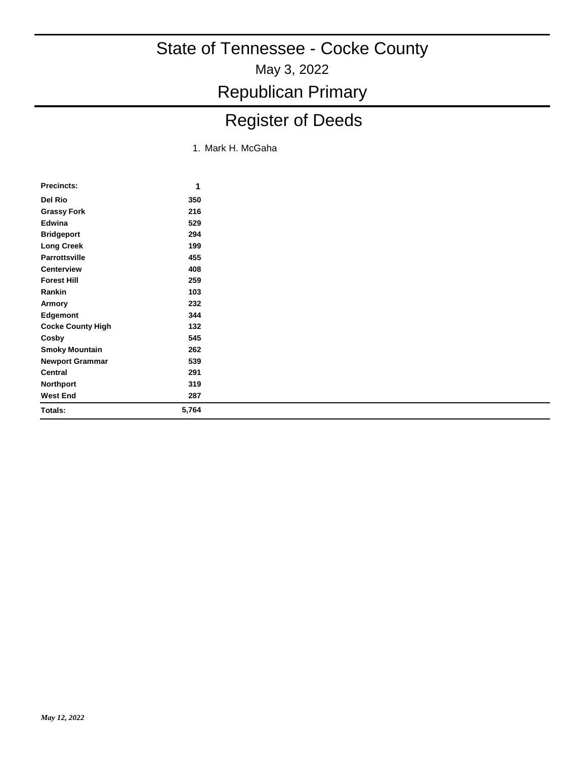May 3, 2022

Republican Primary

# Register of Deeds

1. Mark H. McGaha

| <b>Precincts:</b>        | 1     |
|--------------------------|-------|
| Del Rio                  | 350   |
| Grassy Fork              | 216   |
| Edwina                   | 529   |
| <b>Bridgeport</b>        | 294   |
| <b>Long Creek</b>        | 199   |
| <b>Parrottsville</b>     | 455   |
| Centerview               | 408   |
| <b>Forest Hill</b>       | 259   |
| Rankin                   | 103   |
| Armory                   | 232   |
| Edgemont                 | 344   |
| <b>Cocke County High</b> | 132   |
| Cosby                    | 545   |
| <b>Smoky Mountain</b>    | 262   |
| <b>Newport Grammar</b>   | 539   |
| Central                  | 291   |
| <b>Northport</b>         | 319   |
| West End                 | 287   |
| Totals:                  | 5,764 |